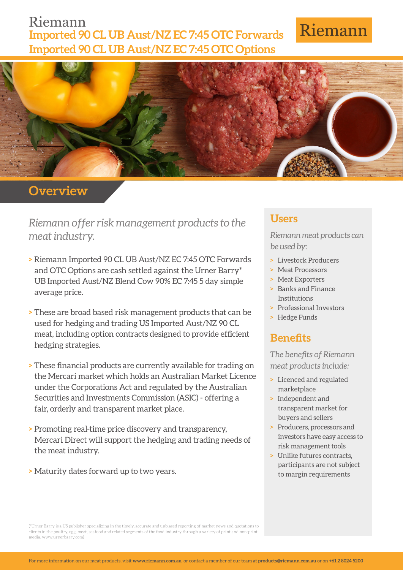## Riemann **Imported 90 CL UB Aust/NZ EC 7:45 OTC Forwards Imported 90 CL UB Aust/NZ EC 7:45 OTC Options**

# Riemann



## **Overview**

*Riemann offer risk management products to the meat industry.*

- **>** Riemann Imported 90 CL UB Aust/NZ EC 7:45 OTC Forwards and OTC Options are cash settled against the Urner Barry\* UB Imported Aust/NZ Blend Cow 90% EC 7:45 5 day simple average price.
- **>** These are broad based risk management products that can be used for hedging and trading US Imported Aust/NZ 90 CL meat, including option contracts designed to provide efficient hedging strategies.
- **>** These financial products are currently available for trading on the Mercari market which holds an Australian Market Licence under the Corporations Act and regulated by the Australian Securities and Investments Commission (ASIC) - offering a fair, orderly and transparent market place.
- **>** Promoting real-time price discovery and transparency, Mercari Direct will support the hedging and trading needs of the meat industry.
- **>** Maturity dates forward up to two years.

#### **Users**

*Riemann meat products can be used by:*

- **>** Livestock Producers
- **>** Meat Processors
- **>** Meat Exporters
- **>** Banks and Finance Institutions
- **>** Professional Investors
- **>** Hedge Funds

## **Benefits**

*The benefits of Riemann meat products include:*

- **>** Licenced and regulated marketplace
- **>** Independent and transparent market for buyers and sellers
- **>** Producers, processors and investors have easy access to risk management tools
- **>** Unlike futures contracts, participants are not subject to margin requirements

(\*Urner Barry is a US publisher specializing in the timely, accurate and unbiased reporting of market news and quotations to clients in the poultry, egg, meat, seafood and related segments of the food industry through a variety of print and non-print media. www.urnerbarry.com)